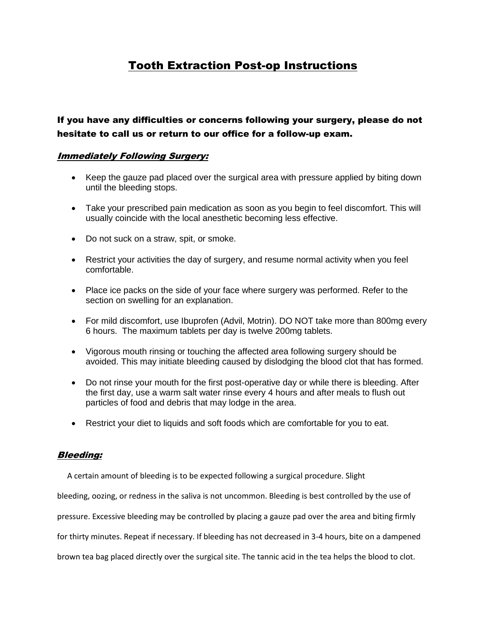# Tooth Extraction Post-op Instructions

If you have any difficulties or concerns following your surgery, please do not hesitate to call us or return to our office for a follow-up exam.

# Immediately Following Surgery:

- Keep the gauze pad placed over the surgical area with pressure applied by biting down until the bleeding stops.
- Take your prescribed pain medication as soon as you begin to feel discomfort. This will usually coincide with the local anesthetic becoming less effective.
- Do not suck on a straw, spit, or smoke.
- Restrict your activities the day of surgery, and resume normal activity when you feel comfortable.
- Place ice packs on the side of your face where surgery was performed. Refer to the section on swelling for an explanation.
- For mild discomfort, use Ibuprofen (Advil, Motrin). DO NOT take more than 800mg every 6 hours. The maximum tablets per day is twelve 200mg tablets.
- Vigorous mouth rinsing or touching the affected area following surgery should be avoided. This may initiate bleeding caused by dislodging the blood clot that has formed.
- Do not rinse your mouth for the first post-operative day or while there is bleeding. After the first day, use a warm salt water rinse every 4 hours and after meals to flush out particles of food and debris that may lodge in the area.
- Restrict your diet to liquids and soft foods which are comfortable for you to eat.

# Bleeding:

A certain amount of bleeding is to be expected following a surgical procedure. Slight

bleeding, oozing, or redness in the saliva is not uncommon. Bleeding is best controlled by the use of

pressure. Excessive bleeding may be controlled by placing a gauze pad over the area and biting firmly

for thirty minutes. Repeat if necessary. If bleeding has not decreased in 3-4 hours, bite on a dampened

brown tea bag placed directly over the surgical site. The tannic acid in the tea helps the blood to clot.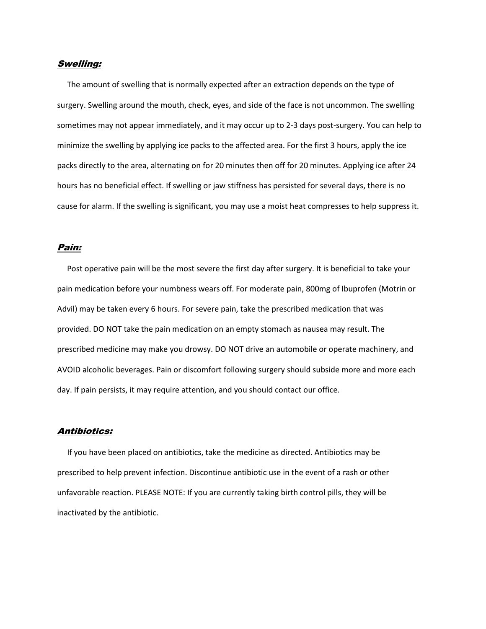## Swelling:

 The amount of swelling that is normally expected after an extraction depends on the type of surgery. Swelling around the mouth, check, eyes, and side of the face is not uncommon. The swelling sometimes may not appear immediately, and it may occur up to 2-3 days post-surgery. You can help to minimize the swelling by applying ice packs to the affected area. For the first 3 hours, apply the ice packs directly to the area, alternating on for 20 minutes then off for 20 minutes. Applying ice after 24 hours has no beneficial effect. If swelling or jaw stiffness has persisted for several days, there is no cause for alarm. If the swelling is significant, you may use a moist heat compresses to help suppress it.

#### Pain:

Post operative pain will be the most severe the first day after surgery. It is beneficial to take your pain medication before your numbness wears off. For moderate pain, 800mg of Ibuprofen (Motrin or Advil) may be taken every 6 hours. For severe pain, take the prescribed medication that was provided. DO NOT take the pain medication on an empty stomach as nausea may result. The prescribed medicine may make you drowsy. DO NOT drive an automobile or operate machinery, and AVOID alcoholic beverages. Pain or discomfort following surgery should subside more and more each day. If pain persists, it may require attention, and you should contact our office.

## Antibiotics:

 If you have been placed on antibiotics, take the medicine as directed. Antibiotics may be prescribed to help prevent infection. Discontinue antibiotic use in the event of a rash or other unfavorable reaction. PLEASE NOTE: If you are currently taking birth control pills, they will be inactivated by the antibiotic.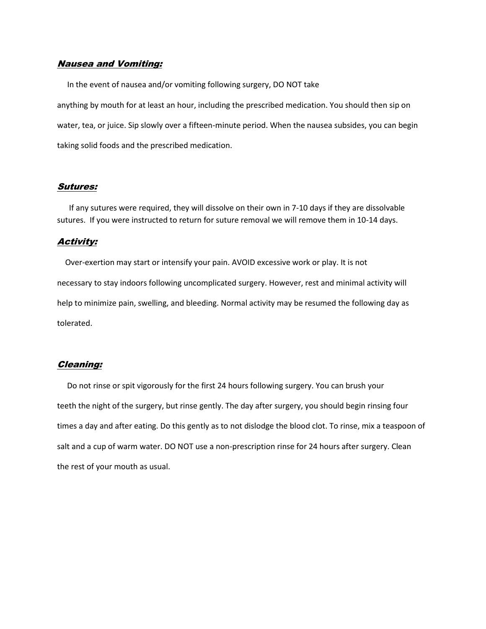# Nausea and Vomiting:

 In the event of nausea and/or vomiting following surgery, DO NOT take anything by mouth for at least an hour, including the prescribed medication. You should then sip on water, tea, or juice. Sip slowly over a fifteen-minute period. When the nausea subsides, you can begin taking solid foods and the prescribed medication.

## Sutures:

If any sutures were required, they will dissolve on their own in 7-10 days if they are dissolvable sutures. If you were instructed to return for suture removal we will remove them in 10-14 days.

## Activity:

 Over-exertion may start or intensify your pain. AVOID excessive work or play. It is not necessary to stay indoors following uncomplicated surgery. However, rest and minimal activity will help to minimize pain, swelling, and bleeding. Normal activity may be resumed the following day as tolerated.

#### Cleaning:

 Do not rinse or spit vigorously for the first 24 hours following surgery. You can brush your teeth the night of the surgery, but rinse gently. The day after surgery, you should begin rinsing four times a day and after eating. Do this gently as to not dislodge the blood clot. To rinse, mix a teaspoon of salt and a cup of warm water. DO NOT use a non-prescription rinse for 24 hours after surgery. Clean the rest of your mouth as usual.